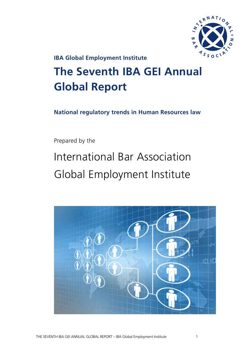

**IBA Global Employment Institute**

# **The Seventh IBA GEI Annual Global Report**

**National regulatory trends in Human Resources law**

Prepared by the

# International Bar Association Global Employment Institute

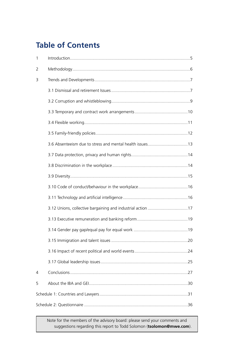# **Table of Contents**

| $\mathbf{1}$ |                                                             |  |
|--------------|-------------------------------------------------------------|--|
| 2            |                                                             |  |
| 3            |                                                             |  |
|              |                                                             |  |
|              |                                                             |  |
|              |                                                             |  |
|              |                                                             |  |
|              |                                                             |  |
|              |                                                             |  |
|              |                                                             |  |
|              |                                                             |  |
|              |                                                             |  |
|              |                                                             |  |
|              |                                                             |  |
|              | 3.12 Unions, collective bargaining and industrial action 17 |  |
|              |                                                             |  |
|              |                                                             |  |
|              |                                                             |  |
|              |                                                             |  |
|              |                                                             |  |
| 4            |                                                             |  |
| 5            |                                                             |  |
|              |                                                             |  |
|              |                                                             |  |

Note for the members of the advisory board: please send your comments and suggestions regarding this report to Todd Solomon (**tsolomon@mwe.com**).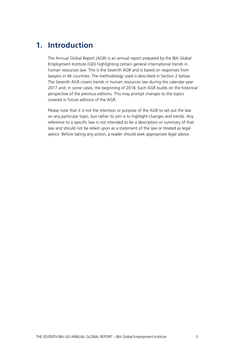# **1. Introduction**

The Annual Global Report (AGR) is an annual report prepared by the IBA Global Employment Institute (GEI) highlighting certain general international trends in human resources law. This is the Seventh AGR and is based on responses from lawyers in 46 countries. The methodology used is described in Section 2 below. The Seventh AGR covers trends in human resources law during the calendar year 2017 and, in some cases, the beginning of 2018. Each AGR builds on the historical perspective of the previous editions. This may prompt changes to the topics covered in future editions of the AGR.

Please note that it is not the intention or purpose of the AGR to set out the law on any particular topic, but rather its aim is to highlight changes and trends. Any reference to a specific law is not intended to be a description or summary of that law and should not be relied upon as a statement of the law or treated as legal advice. Before taking any action, a reader should seek appropriate legal advice.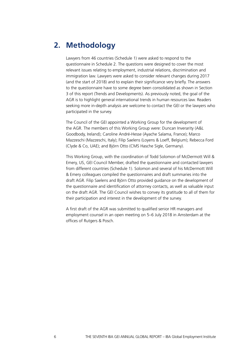# **2. Methodology**

Lawyers from 46 countries (Schedule 1) were asked to respond to the questionnaire in Schedule 2. The questions were designed to cover the most relevant issues relating to employment, industrial relations, discrimination and immigration law. Lawyers were asked to consider relevant changes during 2017 (and the start of 2018) and to explain their significance very briefly. The answers to the questionnaire have to some degree been consolidated as shown in Section 3 of this report (Trends and Developments). As previously noted, the goal of the AGR is to highlight general international trends in human resources law. Readers seeking more in-depth analysis are welcome to contact the GEI or the lawyers who participated in the survey.

The Council of the GEI appointed a Working Group for the development of the AGR. The members of this Working Group were: Duncan Inverarity (A&L Goodbody, Ireland); Caroline André-Hesse (Ayache Salama, France); Marco Mazzeschi (Mazzeschi, Italy); Filip Saelens (Loyens & Loeff, Belgium); Rebecca Ford (Clyde & Co, UAE); and Björn Otto (CMS Hasche Sigle, Germany).

This Working Group, with the coordination of Todd Solomon of McDermott Will & Emery, US, GEI Council Member, drafted the questionnaire and contacted lawyers from different countries (Schedule 1). Solomon and several of his McDermott Will & Emery colleagues compiled the questionnaires and draft summaries into the draft AGR. Filip Saelens and Björn Otto provided guidance on the development of the questionnaire and identification of attorney contacts, as well as valuable input on the draft AGR. The GEI Council wishes to convey its gratitude to all of them for their participation and interest in the development of the survey.

A first draft of the AGR was submitted to qualified senior HR managers and employment counsel in an open meeting on 5–6 July 2018 in Amsterdam at the offices of Rutgers & Posch.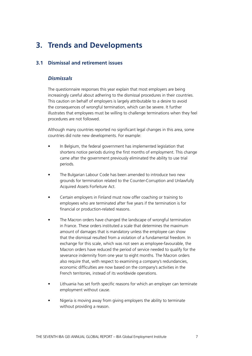# **3. Trends and Developments**

# **3.1 Dismissal and retirement issues**

# *Dismissals*

The questionnaire responses this year explain that most employers are being increasingly careful about adhering to the dismissal procedures in their countries. This caution on behalf of employers is largely attributable to a desire to avoid the consequences of wrongful termination, which can be severe. It further illustrates that employees must be willing to challenge terminations when they feel procedures are not followed.

Although many countries reported no significant legal changes in this area, some countries did note new developments. For example:

- In Belgium, the federal government has implemented legislation that shortens notice periods during the first months of employment. This change came after the government previously eliminated the ability to use trial periods.
- The Bulgarian Labour Code has been amended to introduce two new grounds for termination related to the Counter-Corruption and Unlawfully Acquired Assets Forfeiture Act.
- Certain employers in Finland must now offer coaching or training to employees who are terminated after five years if the termination is for financial or production-related reasons.
- The Macron orders have changed the landscape of wrongful termination in France. These orders instituted a scale that determines the maximum amount of damages that is mandatory unless the employee can show that the dismissal resulted from a violation of a fundamental freedom. In exchange for this scale, which was not seen as employee-favourable, the Macron orders have reduced the period of service needed to qualify for the severance indemnity from one year to eight months. The Macron orders also require that, with respect to examining a company's redundancies, economic difficulties are now based on the company's activities in the French territories, instead of its worldwide operations.
- Lithuania has set forth specific reasons for which an employer can terminate employment without cause.
- Nigeria is moving away from giving employers the ability to terminate without providing a reason.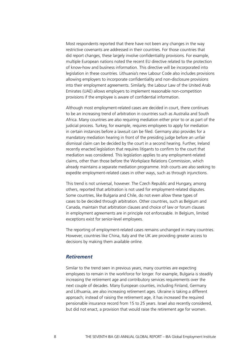Most respondents reported that there have not been any changes in the way restrictive covenants are addressed in their countries. For those countries that did report changes, these largely involve confidentiality provisions. For example, multiple European nations noted the recent EU directive related to the protection of know-how and business information. This directive will be incorporated into legislation in these countries. Lithuania's new Labour Code also includes provisions allowing employers to incorporate confidentiality and non-disclosure provisions into their employment agreements. Similarly, the Labour Law of the United Arab Emirates (UAE) allows employers to implement reasonable non-competition provisions if the employee is aware of confidential information.

Although most employment-related cases are decided in court, there continues to be an increasing trend of arbitration in countries such as Australia and South Africa. Many countries are also requiring mediation either prior to or as part of the judicial process. Turkey, for example, requires employees to apply for mediation in certain instances before a lawsuit can be filed. Germany also provides for a mandatory mediation hearing in front of the presiding judge before an unfair dismissal claim can be decided by the court in a second hearing. Further, Ireland recently enacted legislation that requires litigants to confirm to the court that mediation was considered. This legislation applies to any employment-related claims, other than those before the Workplace Relations Commission, which already maintains a separate mediation programme. Irish courts are also seeking to expedite employment-related cases in other ways, such as through injunctions.

This trend is not universal, however. The Czech Republic and Hungary, among others, reported that arbitration is not used for employment-related disputes. Some countries, like Bulgaria and Chile, do not even allow these types of cases to be decided through arbitration. Other countries, such as Belgium and Canada, maintain that arbitration clauses and choice of law or forum clauses in employment agreements are in principle not enforceable. In Belgium, limited exceptions exist for senior-level employees.

The reporting of employment-related cases remains unchanged in many countries. However, countries like China, Italy and the UK are providing greater access to decisions by making them available online.

#### *Retirement*

Similar to the trend seen in previous years, many countries are expecting employees to remain in the workforce for longer. For example, Bulgaria is steadily increasing the retirement age and contributory services requirements over the next couple of decades. Many European counties, including Finland, Germany and Lithuania, are also increasing retirement ages. Ukraine is taking a different approach; instead of raising the retirement age, it has increased the required pensionable insurance record from 15 to 25 years. Israel also recently considered, but did not enact, a provision that would raise the retirement age for women.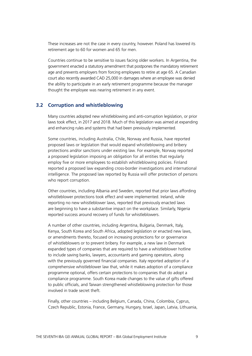These increases are not the case in every country, however. Poland has lowered its retirement age to 60 for women and 65 for men.

Countries continue to be sensitive to issues facing older workers. In Argentina, the government enacted a statutory amendment that postpones the mandatory retirement age and prevents employers from forcing employees to retire at age 65. A Canadian court also recently awarded CAD 25,000 in damages where an employee was denied the ability to participate in an early retirement programme because the manager thought the employee was nearing retirement in any event.

#### **3.2 Corruption and whistleblowing**

Many countries adopted new whistleblowing and anti-corruption legislation, or prior laws took effect, in 2017 and 2018. Much of this legislation was aimed at expanding and enhancing rules and systems that had been previously implemented.

Some countries, including Australia, Chile, Norway and Russia, have reported proposed laws or legislation that would expand whistleblowing and bribery protections and/or sanctions under existing law. For example, Norway reported a proposed legislation imposing an obligation for all entities that regularly employ five or more employees to establish whistleblowing policies. Finland reported a proposed law expanding cross-border investigations and international intelligence. The proposed law reported by Russia will offer protection of persons who report corruption.

Other countries, including Albania and Sweden, reported that prior laws affording whistleblower protections took effect and were implemented. Ireland, while reporting no new whistleblower laws, reported that previously enacted laws are beginning to have a substantive impact on the workplace. Similarly, Nigeria reported success around recovery of funds for whistleblowers.

A number of other countries, including Argentina, Bulgaria, Denmark, Italy, Kenya, South Korea and South Africa, adopted legislation or enacted new laws, or amendments thereto, focused on increasing protections for or governance of whistleblowers or to prevent bribery. For example, a new law in Denmark expanded types of companies that are required to have a whistleblower hotline to include saving banks, lawyers, accountants and gaming operators, along with the previously governed financial companies. Italy reported adoption of a comprehensive whistleblower law that, while it makes adoption of a compliance programme optional, offers certain protections to companies that do adopt a compliance programme. South Korea made changes to the value of gifts offered to public officials, and Taiwan strengthened whistleblowing protection for those involved in trade secret theft.

Finally, other countries – including Belgium, Canada, China, Colombia, Cyprus, Czech Republic, Estonia, France, Germany, Hungary, Israel, Japan, Latvia, Lithuania,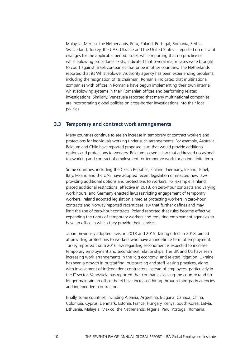Malaysia, Mexico, the Netherlands, Peru, Poland, Portugal, Romania, Serbia, Switzerland, Turkey, the UAE, Ukraine and the United States – reported no relevant changes for the applicable period. Israel, while reporting that no practice of whistleblowing procedures exists, indicated that several major cases were brought to court against Israeli companies that bribe in other countries. The Netherlands reported that its Whistleblower Authority agency has been experiencing problems, including the resignation of its chairman. Romania indicated that multinational companies with offices in Romania have begun implementing their own internal whistleblowing systems in their Romanian offices and performing related investigations. Similarly, Venezuela reported that many multinational companies are incorporating global policies on cross-border investigations into their local policies.

#### **3.3 Temporary and contract work arrangements**

Many countries continue to see an increase in temporary or contract workers and protections for individuals working under such arrangements. For example, Australia, Belgium and Chile have reported proposed laws that would provide additional options and protections to workers. Belgium passed a law that addressed occasional teleworking and contract of employment for temporary work for an indefinite term.

Some countries, including the Czech Republic, Finland, Germany, Ireland, Israel, Italy, Poland and the UAE have adopted recent legislation or enacted new laws providing additional options and protections to workers. For example, Finland placed additional restrictions, effective in 2018, on zero-hour contracts and varying work hours, and Germany enacted laws restricting engagement of temporary workers. Ireland adopted legislation aimed at protecting workers in zero-hour contracts and Norway reported recent case law that further defines and may limit the use of zero-hour contracts. Poland reported that rules became effective expanding the rights of temporary workers and requiring employment agencies to have an office in which they provide their services.

Japan previously adopted laws, in 2013 and 2015, taking effect in 2018, aimed at providing protections to workers who have an indefinite term of employment. Turkey reported that a 2016 law regarding secondment is expected to increase temporary employment and secondment relationships. The UK and US have seen increasing work arrangements in the 'gig economy' and related litigation. Ukraine has seen a growth in outstaffing, outsourcing and staff leasing practices, along with involvement of independent contractors instead of employees, particularly in the IT sector. Venezuela has reported that companies leaving the country (and no longer maintain an office there) have increased hiring through third-party agencies and independent contractors.

Finally, some countries, including Albania, Argentina, Bulgaria, Canada, China, Colombia, Cyprus, Denmark, Estonia, France, Hungary, Kenya, South Korea, Latvia, Lithuania, Malaysia, Mexico, the Netherlands, Nigeria, Peru, Portugal, Romania,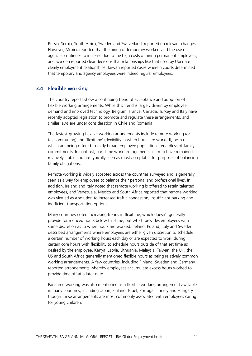Russia, Serbia, South Africa, Sweden and Switzerland, reported no relevant changes. However, Mexico reported that the hiring of temporary workers and the use of agencies continues to increase due to the high costs of hiring permanent employees, and Sweden reported clear decisions that relationships like that used by Uber are clearly employment relationships. Taiwan reported cases wherein courts determined that temporary and agency employees were indeed regular employees.

# **3.4 Flexible working**

The country reports show a continuing trend of acceptance and adoption of flexible working arrangements. While this trend is largely driven by employee demand and improved technology, Belgium, France, Canada, Turkey and Italy have recently adopted legislation to promote and regulate these arrangements, and similar laws are under consideration in Chile and Romania.

The fastest-growing flexible working arrangements include remote working (or telecommuting) and 'flexitime' (flexibility in when hours are worked), both of which are being offered to fairly broad employee populations regardless of family commitments. In contrast, part-time work arrangements seem to have remained relatively stable and are typically seen as most acceptable for purposes of balancing family obligations.

Remote working is widely accepted across the countries surveyed and is generally seen as a way for employees to balance their personal and professional lives. In addition, Ireland and Italy noted that remote working is offered to retain talented employees, and Venezuela, Mexico and South Africa reported that remote working was viewed as a solution to increased traffic congestion, insufficient parking and inefficient transportation options.

Many countries noted increasing trends in flexitime, which doesn't generally provide for reduced hours below full-time, but which provides employees with some discretion as to when hours are worked. Ireland, Poland, Italy and Sweden described arrangements where employees are either given discretion to schedule a certain number of working hours each day or are expected to work during certain core hours with flexibility to schedule hours outside of that set time as desired by the employee. Kenya, Latvia, Lithuania, Malaysia, Taiwan, the UK, the US and South Africa generally mentioned flexible hours as being relatively common working arrangements. A few countries, including Finland, Sweden and Germany, reported arrangements whereby employees accumulate excess hours worked to provide time off at a later date.

Part-time working was also mentioned as a flexible working arrangement available in many countries, including Japan, Finland, Israel, Portugal, Turkey and Hungary, though these arrangements are most commonly associated with employees caring for young children.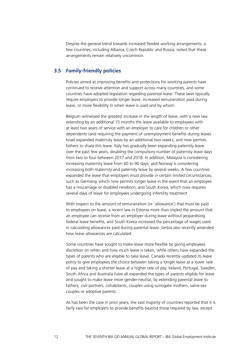Despite the general trend towards increased flexible working arrangements, a few countries, including Albania, Czech Republic and Russia, noted that these arrangements remain relatively uncommon.

#### **3.5 Family-friendly policies**

Policies aimed at improving benefits and protections for working parents have continued to receive attention and support across many countries, and some countries have adopted legislation regarding parental leave. These laws typically require employers to provide longer leave, increased remuneration paid during leave, or more flexibility in when leave is used and by whom.

Belgium witnessed the greatest increase in the length of leave, with a new law extending by an additional 15 months the leave available to employees with at least two years of service with an employer to care for children or other dependents (and requiring the payment of unemployment benefits during leave). Israel expanded maternity leave by an additional two weeks, and now permits fathers to share this leave. Italy has gradually been expanding paternity leave over the past few years, doubling the compulsory number of paternity leave days from two to four between 2017 and 2018. In addition, Malaysia is considering increasing maternity leave from 60 to 90 days, and Norway is considering increasing both maternity and paternity leave by several weeks. A few countries expanded the leave that employers must provide in certain limited circumstances, such as Germany, which now permits longer leave in the event that an employee has a miscarriage or disabled newborn, and South Korea, which now requires several days of leave for employees undergoing infertility treatment.

With respect to the amount of remuneration (or 'allowance') that must be paid to employees on leave, a recent law in Estonia more than tripled the amount that an employee can receive from an employer during leave without jeopardising federal leave benefits, and South Korea increased the percentage of wages used in calculating allowances paid during parental leave. Serbia also recently amended how leave allowances are calculated.

Some countries have sought to make leave more flexible by giving employees discretion on when and how much leave is taken, while others have expanded the types of parents who are eligible to take leave. Canada recently updated its leave policy to give employees the choice between taking a longer leave at a lower rate of pay and taking a shorter leave at a higher rate of pay. Ireland, Portugal, Sweden, South Africa and Australia have all expanded the types of parents eligible for leave and sought to make leave more gender-neutral, by extending parental leave to fathers, civil partners, cohabitants, couples using surrogate mothers, same-sex couples or adoptive parents.

As has been the case in prior years, the vast majority of countries reported that it is fairly rare for employers to provide benefits beyond those required by law, except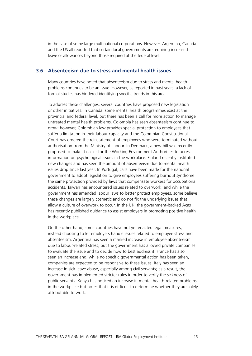in the case of some large multinational corporations. However, Argentina, Canada and the US all reported that certain local governments are requiring increased leave or allowances beyond those required at the federal level.

#### **3.6 Absenteeism due to stress and mental health issues**

Many countries have noted that absenteeism due to stress and mental health problems continues to be an issue. However, as reported in past years, a lack of formal studies has hindered identifying specific trends in this area.

To address these challenges, several countries have proposed new legislation or other initiatives. In Canada, some mental health programmes exist at the provincial and federal level, but there has been a call for more action to manage untreated mental health problems. Colombia has seen absenteeism continue to grow; however, Colombian law provides special protection to employees that suffer a limitation in their labour capacity and the Colombian Constitutional Court has ordered the reinstatement of employees who were terminated without authorisation from the Ministry of Labour. In Denmark, a new bill was recently proposed to make it easier for the Working Environment Authorities to access information on psychological issues in the workplace. Finland recently instituted new changes and has seen the amount of absenteeism due to mental health issues drop since last year. In Portugal, calls have been made for the national government to adopt legislation to give employees suffering burnout syndrome the same protection provided by laws that compensate workers for occupational accidents. Taiwan has encountered issues related to overwork, and while the government has amended labour laws to better protect employees, some believe these changes are largely cosmetic and do not fix the underlying issues that allow a culture of overwork to occur. In the UK, the government-backed Acas has recently published guidance to assist employers in promoting positive health in the workplace.

On the other hand, some countries have not yet enacted legal measures, instead choosing to let employers handle issues related to employee stress and absenteeism. Argentina has seen a marked increase in employee absenteeism due to labour-related stress, but the government has allowed private companies to evaluate the issue and to decide how to best address it. France has also seen an increase and, while no specific governmental action has been taken, companies are expected to be responsive to these issues. Italy has seen an increase in sick leave abuse, especially among civil servants; as a result, the government has implemented stricter rules in order to verify the sickness of public servants. Kenya has noticed an increase in mental health-related problems in the workplace but notes that it is difficult to determine whether they are solely attributable to work.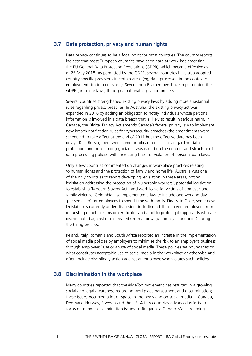#### **3.7 Data protection, privacy and human rights**

Data privacy continues to be a focal point for most countries. The country reports indicate that most European countries have been hard at work implementing the EU General Data Protection Regulations (GDPR), which became effective as of 25 May 2018. As permitted by the GDPR, several countries have also adopted country-specific provisions in certain areas (eg, data processed in the context of employment, trade secrets, etc). Several non-EU members have implemented the GDPR (or similar laws) through a national legislation process.

Several countries strengthened existing privacy laws by adding more substantial rules regarding privacy breaches. In Australia, the existing privacy act was expanded in 2018 by adding an obligation to notify individuals whose personal information is involved in a data breach that is likely to result in serious harm. In Canada, the Digital Privacy Act amends Canada's federal privacy law to implement new breach notification rules for cybersecurity breaches (the amendments were scheduled to take effect at the end of 2017 but the effective date has been delayed). In Russia, there were some significant court cases regarding data protection, and non-binding guidance was issued on the content and structure of data processing policies with increasing fines for violation of personal data laws.

Only a few countries commented on changes in workplace practices relating to human rights and the protection of family and home life. Australia was one of the only countries to report developing legislation in these areas, noting legislation addressing the protection of 'vulnerable workers', potential legislation to establish a 'Modern Slavery Act', and work leave for victims of domestic and family violence. Colombia also implemented a law to include one working day 'per semester' for employees to spend time with family. Finally, in Chile, some new legislation is currently under discussion, including a bill to prevent employers from requesting genetic exams or certificates and a bill to protect job applicants who are discriminated against or mistreated (from a 'privacy/intimacy' standpoint) during the hiring process.

Ireland, Italy, Romania and South Africa reported an increase in the implementation of social media policies by employers to minimise the risk to an employer's business through employees' use or abuse of social media. These policies set boundaries on what constitutes acceptable use of social media in the workplace or otherwise and often include disciplinary action against an employee who violates such policies.

#### **3.8 Discrimination in the workplace**

Many countries reported that the #MeToo movement has resulted in a growing social and legal awareness regarding workplace harassment and discrimination; these issues occupied a lot of space in the news and on social media in Canada, Denmark, Norway, Sweden and the US. A few countries advanced efforts to focus on gender discrimination issues. In Bulgaria, a Gender Mainstreaming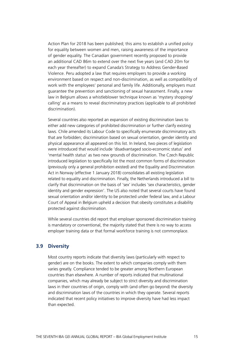Action Plan for 2018 has been published; this aims to establish a unified policy for equality between women and men, raising awareness of the importance of gender equality. The Canadian government recently proposed to provide an additional CAD 86m to extend over the next five years (and CAD 20m for each year thereafter) to expand Canada's Strategy to Address Gender-Based Violence. Peru adopted a law that requires employers to provide a working environment based on respect and non-discrimination, as well as compatibility of work with the employees' personal and family life. Additionally, employers must guarantee the prevention and sanctioning of sexual harassment. Finally, a new law in Belgium allows a whistleblower technique known as 'mystery shopping/ calling' as a means to reveal discriminatory practices (applicable to all prohibited discrimination).

Several countries also reported an expansion of existing discrimination laws to either add new categories of prohibited discrimination or further clarify existing laws. Chile amended its Labour Code to specifically enumerate discriminatory acts that are forbidden; discrimination based on sexual orientation, gender identity and physical appearance all appeared on this list. In Ireland, two pieces of legislation were introduced that would include 'disadvantaged socio-economic status' and 'mental health status' as two new grounds of discrimination. The Czech Republic introduced legislation to specifically list the most common forms of discrimination (previously only a general prohibition existed) and the Equality and Discrimination Act in Norway (effective 1 January 2018) consolidates all existing legislation related to equality and discrimination. Finally, the Netherlands introduced a bill to clarify that discrimination on the basis of 'sex' includes 'sex characteristics, gender identity and gender expression'. The US also noted that several courts have found sexual orientation and/or identity to be protected under federal law, and a Labour Court of Appeal in Belgium upheld a decision that obesity constitutes a disability protected against discrimination.

While several countries did report that employer sponsored discrimination training is mandatory or conventional, the majority stated that there is no way to access employer training data or that formal workforce training is not commonplace.

#### **3.9 Diversity**

Most country reports indicate that diversity laws (particularly with respect to gender) are on the books. The extent to which companies comply with them varies greatly. Compliance tended to be greater among Northern European countries than elsewhere. A number of reports indicated that multinational companies, which may already be subject to strict diversity and discrimination laws in their countries of origin, comply with (and often go beyond) the diversity and discrimination laws of the countries in which they operate. Several reports indicated that recent policy initiatives to improve diversity have had less impact than expected.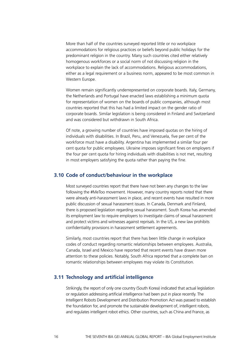More than half of the countries surveyed reported little or no workplace accommodations for religious practices or beliefs beyond public holidays for the predominant religion in the country. Many such countries cited either relatively homogenous workforces or a social norm of not discussing religion in the workplace to explain the lack of accommodations. Religious accommodations, either as a legal requirement or a business norm, appeared to be most common in Western Europe.

Women remain significantly underrepresented on corporate boards. Italy, Germany, the Netherlands and Portugal have enacted laws establishing a minimum quota for representation of women on the boards of public companies, although most countries reported that this has had a limited impact on the gender ratio of corporate boards. Similar legislation is being considered in Finland and Switzerland and was considered but withdrawn in South Africa.

Of note, a growing number of countries have imposed quotas on the hiring of individuals with disabilities. In Brazil, Peru, and Venezuela, five per cent of the workforce must have a disability. Argentina has implemented a similar four per cent quota for public employees. Ukraine imposes significant fines on employers if the four per cent quota for hiring individuals with disabilities is not met, resulting in most employers satisfying the quota rather than paying the fine.

#### **3.10 Code of conduct/behaviour in the workplace**

Most surveyed countries report that there have not been any changes to the law following the #MeToo movement. However, many country reports noted that there were already anti-harassment laws in place, and recent events have resulted in more public discussion of sexual harassment issues. In Canada, Denmark and Finland, there is proposed legislation regarding sexual harassment. South Korea has amended its employment law to require employers to investigate claims of sexual harassment and protect victims and witnesses against reprisals. In the US, a new law prohibits confidentiality provisions in harassment settlement agreements.

Similarly, most countries report that there has been little change in workplace codes of conduct regarding romantic relationships between employees. Australia, Canada, Israel and Mexico have reported that recent events have drawn more attention to these policies. Notably, South Africa reported that a complete ban on romantic relationships between employees may violate its Constitution.

#### **3.11 Technology and artificial intelligence**

Strikingly, the report of only one country (South Korea) indicated that actual legislation or regulation addressing artificial intelligence had been put in place recently. The Intelligent Robots Development and Distribution Promotion Act was passed to establish the foundation for, and promote the sustainable development of, intelligent robots, and regulates intelligent robot ethics. Other countries, such as China and France, as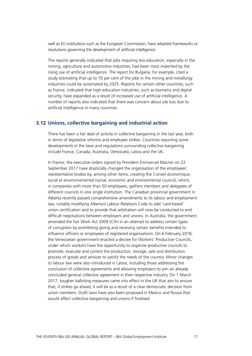well as EU institutions such as the European Commission, have adopted frameworks or resolutions governing the development of artificial intelligence.

The reports generally indicated that jobs requiring less education, especially in the mining, agriculture and automotive industries, had been most imperiled by the rising use of artificial intelligence. The report for Bulgaria, for example, cited a study estimating that up to 70 per cent of the jobs in the mining and metallurgy industries could be automated by 2025. Reports for certain other countries, such as France, indicated that high-education industries, such as biometry and digital security, have expanded as a result of increased use of artificial intelligence. A number of reports also indicated that there was concern about job loss due to artificial intelligence in many countries.

#### **3.12 Unions, collective bargaining and industrial action**

There has been a fair deal of activity in collective bargaining in the last year, both in terms of legislative reforms and employee strikes. Countries reporting some developments in the laws and regulations surrounding collective bargaining include France, Canada, Australia, Venezuela, Latvia and the UK.

In France, the executive orders signed by President Emmanuel Macron on 22 September 2017 have drastically changed the organisation of the employees' representative bodies by, among other items, creating the Conseil économique, social et environnemental (social, economic and environmental council), which, in companies with more than 50 employees, gathers members and delegates of different councils in one single institution. The Canadian provincial government in Alberta recently passed comprehensive amendments to its labour and employment law, notably modifying Alberta's Labour Relations Code to add 'card-based' union certification and to provide that arbitration will now be conducted to end difficult negotiations between employers and unions. In Australia, the government amended the Fair Work Act 2009 (Cth) in an attempt to address certain types of corruption by prohibiting giving and receiving certain benefits intended to influence officers or employees of registered organisations. On 6 February 2018, the Venezuelan government enacted a decree for Workers' Productive Councils, under which workers have the opportunity to organise productive councils to promote, evaluate and control the production, storage, sale and distribution process of goods and services to satisfy the needs of the country. Minor changes to labour law were also introduced in Latvia, including those addressing the conclusion of collective agreements and allowing employers to join an already concluded general collective agreement in their respective industry. On 1 March 2017, tougher balloting measures came into effect in the UK that aim to ensure that, if strikes go ahead, it will be as a result of a clear democratic decision from union members. Draft laws have also been proposed in Mexico and Russia that would affect collective bargaining and unions if finalised.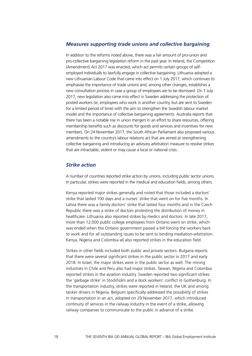#### *Measures supporting trade unions and collective bargaining*

In addition to the reforms noted above, there was a fair amount of pro-union and pro-collective bargaining legislation reform in the past year. In Ireland, the Competition (Amendment) Act 2017 was enacted, which act permits certain groups of selfemployed individuals to lawfully engage in collective bargaining. Lithuania adopted a new Lithuanian Labour Code that came into effect on 1 July 2017, which continues to emphasise the importance of trade unions and, among other changes, establishes a new consultation process in case a group of employees are to be dismissed. On 1 July 2017, new legislation also came into effect in Sweden addressing the protection of posted workers (ie, employees who work in another country, but are sent to Sweden for a limited period of time) with the aim to strengthen the Swedish labour market model and the importance of collective bargaining agreements. Australia reports that there has been a notable rise in union mergers in an effort to share resources, offering membership benefits such as discounts for goods and services and incentives for new members. On 24 November 2017, the South African Parliament also proposed various amendments to the country's labour relations act that are aimed at strengthening collective bargaining and introducing an advisory arbitration measure to resolve strikes that are intractable, violent or may cause a local or national crisis.

#### *Strike action*

A number of countries reported strike action by unions, including public sector unions. In particular, strikes were reported in the medical and education fields, among others.

Kenya reported major strikes generally and noted that those included a doctors' strike that lasted 100 days and a nurses' strike that went on for five months. In Latvia there was a family doctors' strike that lasted four months and in the Czech Republic there was a strike of doctors protesting the distribution of money in healthcare. Lithuania also reported strikes by medics and doctors. In late 2017, more than 12,000 public college employees from Ontario went on strike, which was ended when the Ontario government passed a bill forcing the workers back to work and for all outstanding issues to be sent to binding mediation-arbitration. Kenya, Nigeria and Colombia all also reported strikes in the education field.

Strikes in other fields included both public and private sectors. Bulgaria reports that there were several significant strikes in the public sector in 2017 and early 2018. In Israel, the major strikes were in the public sector as well. The mining industries in Chile and Peru also had major strikes. Taiwan, Nigeria and Colombia reported strikes in the aviation industry. Sweden reported two significant strikes: the 'garbage strike' in Stockholm and a dock workers' conflict in Gothenburg. In the transportation industry, strikes were reported in Ireland, the UK and among tanker drivers in Nigeria. Belgium specifically addressed the possibility of strikes in transportation in an act, adopted on 29 November 2017, which introduced continuity of services in the railway industry in the event of a strike, allowing railway companies to communicate to the public in advance of a strike.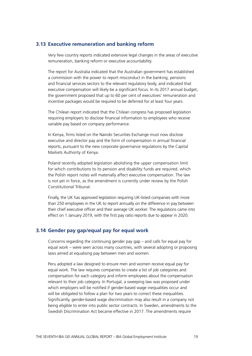#### **3.13 Executive remuneration and banking reform**

Very few country reports indicated extensive legal changes in the areas of executive remuneration, banking reform or executive accountability.

The report for Australia indicated that the Australian government has established a commission with the power to report misconduct in the banking, pensions and financial services sectors to the relevant regulatory body, and indicated that executive compensation will likely be a significant focus. In its 2017 annual budget, the government proposed that up to 60 per cent of executives' remuneration and incentive packages would be required to be deferred for at least four years.

The Chilean report indicated that the Chilean congress has proposed legislation requiring employers to disclose financial information to employees who receive variable pay based on company performance.

In Kenya, firms listed on the Nairobi Securities Exchange must now disclose executive and director pay and the form of compensation in annual financial reports, pursuant to the new corporate governance regulations by the Capital Markets Authority of Kenya.

Poland recently adopted legislation abolishing the upper compensation limit for which contributions to its pension and disability funds are required, which the Polish report notes will materially affect executive compensation. The law is not yet in force, as the amendment is currently under review by the Polish Constitutional Tribunal.

Finally, the UK has approved legislation requiring UK-listed companies with more than 250 employees in the UK to report annually on the difference in pay between their chief executive officer and their average UK worker. The regulations came into effect on 1 January 2019, with the first pay ratio reports due to appear in 2020.

## **3.14 Gender pay gap/equal pay for equal work**

Concerns regarding the continuing gender pay gap – and calls for equal pay for equal work – were seen across many countries, with several adopting or proposing laws aimed at equalising pay between men and women.

Peru adopted a law designed to ensure men and women receive equal pay for equal work. The law requires companies to create a list of job categories and compensation for each category and inform employees about the compensation relevant to their job category. In Portugal, a sweeping law was proposed under which employers will be notified if gender-based wage inequalities occur and will be obligated to follow a plan for two years to correct these inequalities. Significantly, gender-based wage discrimination may also result in a company not being eligible to enter into public sector contracts. In Sweden, amendments to the Swedish Discrimination Act became effective in 2017. The amendments require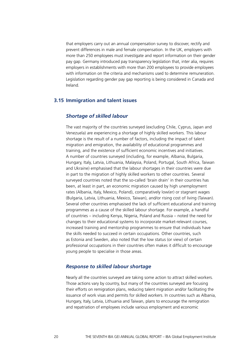that employers carry out an annual compensation survey to discover, rectify and prevent differences in male and female compensation. In the UK, employers with more than 250 employees must investigate and report information on their gender pay gap. Germany introduced pay transparency legislation that, inter alia, requires employers in establishments with more than 200 employees to provide employees with information on the criteria and mechanisms used to determine remuneration. Legislation regarding gender pay gap reporting is being considered in Canada and Ireland.

#### **3.15 Immigration and talent issues**

#### *Shortage of skilled labour*

The vast majority of the countries surveyed (excluding Chile, Cyprus, Japan and Venezuela) are experiencing a shortage of highly skilled workers. This labour shortage is the result of a number of factors, including the impact of talent migration and emigration, the availability of educational programmes and training, and the existence of sufficient economic incentives and initiatives. A number of countries surveyed (including, for example, Albania, Bulgaria, Hungary, Italy, Latvia, Lithuania, Malaysia, Poland, Portugal, South Africa, Taiwan and Ukraine) emphasised that the labour shortages in their countries were due in part to the migration of highly skilled workers to other countries. Several surveyed countries noted that the so-called 'brain drain' in their countries has been, at least in part, an economic migration caused by high unemployment rates (Albania, Italy, Mexico, Poland), comparatively low(er) or stagnant wages (Bulgaria, Latvia, Lithuania, Mexico, Taiwan), and/or rising cost of living (Taiwan). Several other countries emphasised the lack of sufficient educational and training programmes as a cause of the skilled labour shortage. For example, a handful of countries – including Kenya, Nigeria, Poland and Russia – noted the need for changes to their educational systems to incorporate market-relevant courses, increased training and mentorship programmes to ensure that individuals have the skills needed to succeed in certain occupations. Other countries, such as Estonia and Sweden, also noted that the low status (or view) of certain professional occupations in their countries often makes it difficult to encourage young people to specialise in those areas.

#### *Response to skilled labour shortage*

Nearly all the countries surveyed are taking some action to attract skilled workers. Those actions vary by country, but many of the countries surveyed are focusing their efforts on remigration plans, reducing talent migration and/or facilitating the issuance of work visas and permits for skilled workers. In countries such as Albania, Hungary, Italy, Latvia, Lithuania and Taiwan, plans to encourage the remigration and repatriation of employees include various employment and economic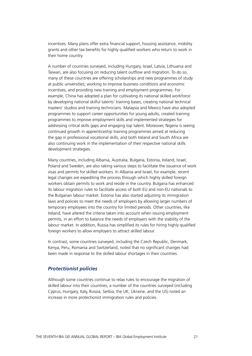incentives. Many plans offer extra financial support, housing assistance, mobility grants and other tax benefits for highly qualified workers who return to work in their home country.

A number of countries surveyed, including Hungary, Israel, Latvia, Lithuania and Taiwan, are also focusing on reducing talent outflow and migration. To do so, many of these countries are offering scholarships and new programmes of study at public universities, working to improve business conditions and economic incentives, and providing new training and employment programmes. For example, China has adopted a plan for cultivating its national skilled workforce by developing national skilful talents' training bases, creating national technical masters' studios and training technicians. Malaysia and Mexico have also adopted programmes to support career opportunities for young adults, created training programmes to improve employment skills and implemented strategies for addressing critical skills gaps and engaging top talent. Moreover, Nigeria is seeing continued growth in apprenticeship training programmes aimed at reducing the gap in professional vocational skills, and both Ireland and South Africa are also continuing work in the implementation of their respective national skills development strategies.

Many countries, including Albania, Australia, Bulgaria, Estonia, Ireland, Israel, Poland and Sweden, are also taking various steps to facilitate the issuance of work visas and permits for skilled workers. In Albania and Israel, for example, recent legal changes are expediting the process through which highly skilled foreign workers obtain permits to work and reside in the country. Bulgaria has enhanced its labour migration rules to facilitate access of both EU and non-EU nationals to the Bulgarian labour market. Estonia has also started adjusting its immigration laws and policies to meet the needs of employers by allowing larger numbers of temporary employees into the country for limited periods. Other countries, like Ireland, have altered the criteria taken into account when issuing employment permits, in an effort to balance the needs of employers with the stability of the labour market. In addition, Russia has simplified its rules for hiring highly qualified foreign workers to allow employers to attract skilled labour.

In contrast, some countries surveyed, including the Czech Republic, Denmark, Kenya, Peru, Romania and Switzerland, noted that no significant changes had been made in response to the skilled labour shortages in their countries.

#### *Protectionist policies*

Although some countries continue to relax rules to encourage the migration of skilled labour into their countries, a number of the countries surveyed (including Cyprus, Hungary, Italy, Russia, Serbia, the UK, Ukraine, and the US) noted an increase in more protectionist immigration rules and policies.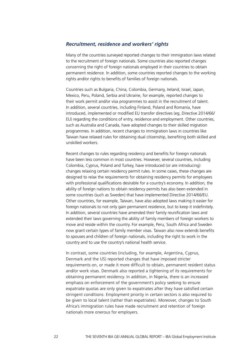#### *Recruitment, residence and workers' rights*

Many of the countries surveyed reported changes to their immigration laws related to the recruitment of foreign nationals. Some countries also reported changes concerning the right of foreign nationals employed in their countries to obtain permanent residence. In addition, some countries reported changes to the working rights and/or rights to benefits of families of foreign nationals.

Countries such as Bulgaria, China, Colombia, Germany, Ireland, Israel, Japan, Mexico, Peru, Poland, Serbia and Ukraine, for example, reported changes to their work permit and/or visa programmes to assist in the recruitment of talent. In addition, several countries, including Finland, Poland and Romania, have introduced, implemented or modified EU transfer directives (eg, Directive 2014/66/ EU) regarding the conditions of entry, residence and employment. Other countries, such as Australia and Canada, have adopted changes to their skilled migration programmes. In addition, recent changes to immigration laws in countries like Taiwan have relaxed rules for obtaining dual citizenship, benefiting both skilled and unskilled workers.

Recent changes to rules regarding residency and benefits for foreign nationals have been less common in most countries. However, several countries, including Colombia, Cyprus, Poland and Turkey, have introduced (or are introducing) changes relaxing certain residency permit rules. In some cases, these changes are designed to relax the requirements for obtaining residency permits for employees with professional qualifications desirable for a country's economy. In addition, the ability of foreign nations to obtain residency permits has also been extended in some countries (such as Sweden) that have implemented Directive 2014/66/EU. Other countries, for example, Taiwan, have also adopted laws making it easier for foreign nationals to not only gain permanent residence, but to keep it indefinitely. In addition, several countries have amended their family reunification laws and extended their laws governing the ability of family members of foreign workers to move and reside within the country. For example, Peru, South Africa and Sweden now grant certain types of family member visas. Taiwan also now extends benefits to spouses and children of foreign nationals, including the right to work in the country and to use the country's national health service.

In contrast, some countries (including, for example, Argentina, Cyprus, Denmark and the US) reported changes that have imposed stricter requirements on, or made it more difficult to obtain, permanent resident status and/or work visas. Denmark also reported a tightening of its requirements for obtaining permanent residency. In addition, in Nigeria, there is an increased emphasis on enforcement of the government's policy seeking to ensure expatriate quotas are only given to expatriates after they have satisfied certain stringent conditions. Employment priority in certain sectors is also required to be given to local talent (rather than expatriates). Moreover, changes to South Africa's immigration rules have made recruitment and retention of foreign nationals more onerous for employers.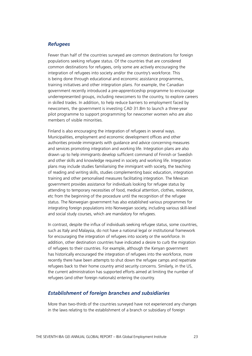# *Refugees*

Fewer than half of the countries surveyed are common destinations for foreign populations seeking refugee status. Of the countries that are considered common destinations for refugees, only some are actively encouraging the integration of refugees into society and/or the country's workforce. This is being done through educational and economic assistance programmes, training initiatives and other integration plans. For example, the Canadian government recently introduced a pre-apprenticeship programme to encourage underrepresented groups, including newcomers to the country, to explore careers in skilled trades. In addition, to help reduce barriers to employment faced by newcomers, the government is investing CAD 31.8m to launch a three-year pilot programme to support programming for newcomer women who are also members of visible minorities.

Finland is also encouraging the integration of refugees in several ways. Municipalities, employment and economic development offices and other authorities provide immigrants with guidance and advice concerning measures and services promoting integration and working life. Integration plans are also drawn up to help immigrants develop sufficient command of Finnish or Swedish and other skills and knowledge required in society and working life. Integration plans may include studies familiarising the immigrant with society, the teaching of reading and writing skills, studies complementing basic education, integration training and other personalised measures facilitating integration. The Mexican government provides assistance for individuals looking for refugee status by attending to temporary necessities of food, medical attention, clothes, residence, etc from the beginning of the procedure until the recognition of the refugee status. The Norwegian government has also established various programmes for integrating foreign populations into Norwegian society, including various skill-level and social study courses, which are mandatory for refugees.

In contrast, despite the influx of individuals seeking refugee status, some countries, such as Italy and Malaysia, do not have a national legal or institutional framework for encouraging the integration of refugees into society or the workforce. In addition, other destination countries have indicated a desire to curb the migration of refugees to their countries. For example, although the Kenyan government has historically encouraged the integration of refugees into the workforce, more recently there have been attempts to shut down the refugee camps and repatriate refugees back to their home country amid security concerns. Similarly, in the US, the current administration has supported efforts aimed at limiting the number of refugees (and other foreign nationals) entering the country.

#### *Establishment of foreign branches and subsidiaries*

More than two-thirds of the countries surveyed have not experienced any changes in the laws relating to the establishment of a branch or subsidiary of foreign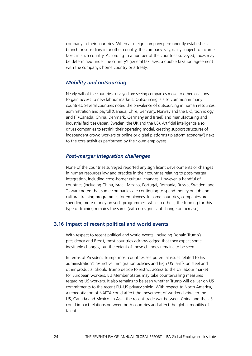company in their countries. When a foreign company permanently establishes a branch or subsidiary in another country, the company is typically subject to income taxes in such country. According to a number of the countries surveyed, taxes may be determined under the country's general tax laws, a double taxation agreement with the company's home country or a treaty.

# *Mobility and outsourcing*

Nearly half of the countries surveyed are seeing companies move to other locations to gain access to new labour markets. Outsourcing is also common in many countries. Several countries noted the prevalence of outsourcing in human resources, administration and payroll (Canada, Chile, Germany, Norway and the UK), technology and IT (Canada, China, Denmark, Germany and Israel) and manufacturing and industrial facilities (Japan, Sweden, the UK and the US). Artificial intelligence also drives companies to rethink their operating model, creating support structures of independent crowd workers or online or digital platforms ('platform economy') next to the core activities performed by their own employees.

#### *Post-merger integration challenges*

None of the countries surveyed reported any significant developments or changes in human resources law and practice in their countries relating to post-merger integration, including cross-border cultural changes. However, a handful of countries (including China, Israel, Mexico, Portugal, Romania, Russia, Sweden, and Taiwan) noted that some companies are continuing to spend money on job and cultural training programmes for employees. In some countries, companies are spending more money on such programmes, while in others, the funding for this type of training remains the same (with no significant change or increase).

#### **3.16 Impact of recent political and world events**

With respect to recent political and world events, including Donald Trump's presidency and Brexit, most countries acknowledged that they expect some inevitable changes, but the extent of those changes remains to be seen.

In terms of President Trump, most countries see potential issues related to his administration's restrictive immigration policies and high US tariffs on steel and other products. Should Trump decide to restrict access to the US labour market for European workers, EU Member States may take countervailing measures regarding US workers. It also remains to be seen whether Trump will deliver on US commitments to the recent EU–US privacy shield. With respect to North America, a renegotiation of NAFTA could affect the movement of workers between the US, Canada and Mexico. In Asia, the recent trade war between China and the US could impact relations between both countries and affect the global mobility of talent.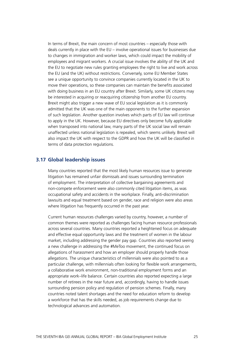In terms of Brexit, the main concern of most countries – especially those with deals currently in place with the EU – involve operational issues for businesses due to changes in immigration and worker laws, which could impact the mobility of employees and migrant workers. A crucial issue involves the ability of the UK and the EU to negotiate new rules granting employees the right to live and work across the EU (and the UK) without restrictions. Conversely, some EU Member States see a unique opportunity to convince companies currently located in the UK to move their operations, so these companies can maintain the benefits associated with doing business in an EU country after Brexit. Similarly, some UK citizens may be interested in acquiring or reacquiring citizenship from another EU country. Brexit might also trigger a new wave of EU social legislation as it is commonly admitted that the UK was one of the main opponents to the further expansion of such legislation. Another question involves which parts of EU law will continue to apply in the UK. However, because EU directives only become fully applicable when transposed into national law, many parts of the UK social law will remain unaffected unless national legislation is repealed, which seems unlikely. Brexit will also impact the UK with respect to the GDPR and how the UK will be classified in terms of data protection regulations.

#### **3.17 Global leadership issues**

Many countries reported that the most likely human resources issue to generate litigation has remained unfair dismissals and issues surrounding termination of employment. The interpretation of collective bargaining agreements and non-compete enforcement were also commonly cited litigation items, as was occupational safety and accidents in the workplace. Finally, anti-discrimination lawsuits and equal treatment based on gender, race and religion were also areas where litigation has frequently occurred in the past year.

Current human resources challenges varied by country, however, a number of common themes were reported as challenges facing human resource professionals across several countries. Many countries reported a heightened focus on adequate and effective equal opportunity laws and the treatment of women in the labour market, including addressing the gender pay gap. Countries also reported seeing a new challenge in addressing the #MeToo movement, the continued focus on allegations of harassment and how an employer should properly handle those allegations. The unique characteristics of millennials were also pointed to as a particular challenge, with millennials often looking for flexible work arrangements, a collaborative work environment, non-traditional employment forms and an appropriate work–life balance. Certain countries also reported expecting a large number of retirees in the near future and, accordingly, having to handle issues surrounding pension policy and regulation of pension schemes. Finally, many countries noted talent shortages and the need for education reform to develop a workforce that has the skills needed, as job requirements change due to technological advances and automation.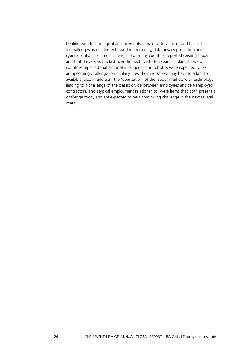Dealing with technological advancements remains a focal point and has led to challenges associated with working remotely, data privacy protection and cybersecurity. These are challenges that many countries reported existing today and that they expect to last over the next five to ten years. Looking forward, countries reported that artificial intelligence and robotics were expected to be an upcoming challenge, particularly how their workforce may have to adapt to available jobs. In addition, the 'uberisation' of the labour market, with technology leading to a challenge of the classic divide between employees and self-employed contractors, and atypical employment relationships, were items that both present a challenge today and are expected to be a continuing challenge in the next several years.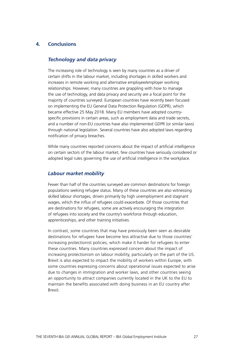# **4. Conclusions**

#### *Technology and data privacy*

The increasing role of technology is seen by many countries as a driver of certain shifts in the labour market, including shortages in skilled workers and increases in remote working and alternative employee/employer working relationships. However, many countries are grappling with how to manage the use of technology, and data privacy and security are a focal point for the majority of countries surveyed. European countries have recently been focused on implementing the EU General Data Protection Regulation (GDPR), which became effective 25 May 2018. Many EU members have adopted countryspecific provisions in certain areas, such as employment data and trade secrets, and a number of non-EU countries have also implemented GDPR (or similar laws) through national legislation. Several countries have also adopted laws regarding notification of privacy breaches.

While many countries reported concerns about the impact of artificial intelligence on certain sectors of the labour market, few countries have seriously considered or adopted legal rules governing the use of artificial intelligence in the workplace.

#### *Labour market mobility*

Fewer than half of the countries surveyed are common destinations for foreign populations seeking refugee status. Many of these countries are also witnessing skilled labour shortages, driven primarily by high unemployment and stagnant wages, which the influx of refugees could exacerbate. Of those countries that are destinations for refugees, some are actively encouraging the integration of refugees into society and the country's workforce through education, apprenticeships, and other training initiatives.

In contrast, some countries that may have previously been seen as desirable destinations for refugees have become less attractive due to those countries' increasing protectionist policies, which make it harder for refugees to enter these countries. Many countries expressed concern about the impact of increasing protectionism on labour mobility, particularly on the part of the US. Brexit is also expected to impact the mobility of workers within Europe, with some countries expressing concerns about operational issues expected to arise due to changes in immigration and worker laws, and other countries seeing an opportunity to attract companies currently located in the UK to the EU to maintain the benefits associated with doing business in an EU country after Brexit.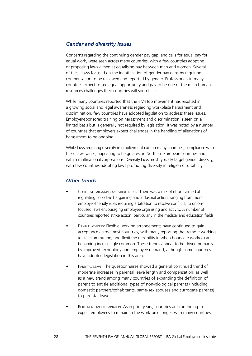#### *Gender and diversity issues*

Concerns regarding the continuing gender pay gap, and calls for equal pay for equal work, were seen across many countries, with a few countries adopting or proposing laws aimed at equalising pay between men and women. Several of these laws focused on the identification of gender pay gaps by requiring compensation to be reviewed and reported by gender. Professionals in many countries expect to see equal opportunity and pay to be one of the main human resources challenges their countries will soon face.

While many countries reported that the #MeToo movement has resulted in a growing social and legal awareness regarding workplace harassment and discrimination, few countries have adopted legislation to address these issues. Employer-sponsored training on harassment and discrimination is seen on a limited basis but is generally not required by legislation. It was noted by a number of countries that employers expect challenges in the handling of allegations of harassment to be ongoing.

While laws requiring diversity in employment exist in many countries, compliance with these laws varies, appearing to be greatest in Northern European countries and within multinational corporations. Diversity laws most typically target gender diversity, with few countries adopting laws promoting diversity in religion or disability.

#### *Other trends*

- Collective bargaining and strike action: There was a mix of efforts aimed at regulating collective bargaining and industrial action, ranging from more employer-friendly rules requiring arbitration to resolve conflicts, to unionfocused laws encouraging employee organising and activity. A number of countries reported strike action, particularly in the medical and education fields.
- Flexible working: Flexible working arrangements have continued to gain acceptance across most countries, with many reporting that remote working (or telecommuting) and flexitime (flexibility in when hours are worked) are becoming increasingly common. These trends appear to be driven primarily by improved technology and employee demand, although some countries have adopted legislation in this area.
- PARENTAL LEAVE: The questionnaires showed a general continued trend of moderate increases in parental leave length and compensation, as well as a new trend among many countries of expanding the definition of parent to entitle additional types of non-biological parents (including domestic partners/cohabitants, same-sex spouses and surrogate parents) to parental leave.
- RETIREMENT AND TERMINATION: As in prior years, countries are continuing to expect employees to remain in the workforce longer, with many countries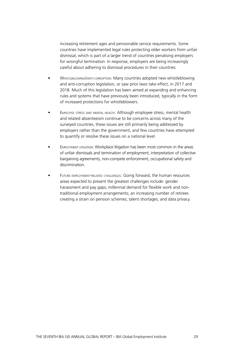increasing retirement ages and pensionable service requirements. Some countries have implemented legal rules protecting older workers from unfair dismissal, which is part of a larger trend of countries penalising employers for wrongful termination. In response, employers are being increasingly careful about adhering to dismissal procedures in their countries.

- Whistleblowing/anti-corruption: Many countries adopted new whistleblowing and anti-corruption legislation, or saw prior laws take effect, in 2017 and 2018. Much of this legislation has been aimed at expanding and enhancing rules and systems that have previously been introduced, typically in the form of increased protections for whistleblowers.
- EMPLOYEE STRESS AND MENTAL HEALTH: Although employee stress, mental health and related absenteeism continue to be concerns across many of the surveyed countries, these issues are still primarily being addressed by employers rather than the government, and few countries have attempted to quantify or resolve these issues on a national level.
- **EMPLOYMENT LITIGATION: Workplace litigation has been most common in the areas** of unfair dismissals and termination of employment, interpretation of collective bargaining agreements, non-compete enforcement, occupational safety and discrimination.
- FUTURE EMPLOYMENT-RELATED CHALLENGES: Going forward, the human resources areas expected to present the greatest challenges include: gender harassment and pay gaps; millennial demand for flexible work and nontraditional employment arrangements; an increasing number of retirees creating a strain on pension schemes; talent shortages; and data privacy.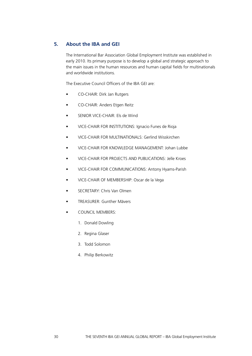# **5. About the IBA and GEI**

The International Bar Association Global Employment Institute was established in early 2010. Its primary purpose is to develop a global and strategic approach to the main issues in the human resources and human capital fields for multinationals and worldwide institutions.

The Executive Council Officers of the IBA GEI are:

- CO-CHAIR: Dirk Jan Rutgers
- CO-CHAIR: Anders Etgen Reitz
- SENIOR VICE-CHAIR: Els de Wind
- VICE-CHAIR FOR INSTITUTIONS: Ignacio Funes de Rioja
- VICE-CHAIR FOR MULTINATIONALS: Gerlind Wisskirchen
- VICE-CHAIR FOR KNOWLEDGE MANAGEMENT: Johan Lubbe
- VICE-CHAIR FOR PROJECTS AND PUBLICATIONS: Jelle Kroes
- VICE-CHAIR FOR COMMUNICATIONS: Antony Hyams-Parish
- VICE-CHAIR OF MEMBERSHIP: Oscar de la Vega
- SECRETARY: Chris Van Olmen
- TREASURER: Gunther Mävers
- COUNCIL MEMBERS:
	- 1. Donald Dowling
	- 2. Regina Glaser
	- 3. Todd Solomon
	- 4. Philip Berkowitz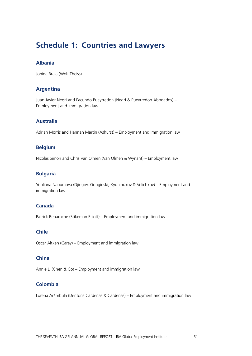# **Schedule 1: Countries and Lawyers**

# **Albania**

Jonida Braja (Wolf Theiss)

## **Argentina**

Juan Javier Negri and Facundo Pueyrredon (Negri & Pueyrredon Abogados) – Employment and immigration law

# **Australia**

Adrian Morris and Hannah Martin (Ashurst) – Employment and immigration law

# **Belgium**

Nicolas Simon and Chris Van Olmen (Van Olmen & Wynant) – Employment law

# **Bulgaria**

Youliana Naoumova (Djingov, Gouginski, Kyutchukov & Velichkov) – Employment and immigration law

# **Canada**

Patrick Benaroche (Stikeman Elliott) – Employment and immigration law

#### **Chile**

Oscar Aitken (Carey) – Employment and immigration law

# **China**

Annie Li (Chen & Co) – Employment and immigration law

# **Colombia**

Lorena Arámbula (Dentons Cardenas & Cardenas) – Employment and immigration law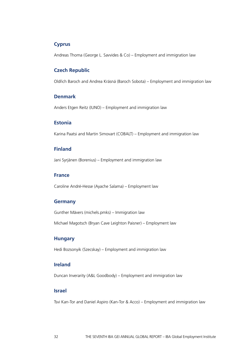# **Cyprus**

Andreas Thoma (George L. Savvides & Co) – Employment and immigration law

# **Czech Republic**

Oldřich Baroch and Andrea Krásná (Baroch Sobota) – Employment and immigration law

#### **Denmark**

Anders Etgen Reitz (IUNO) – Employment and immigration law

# **Estonia**

Karina Paatsi and Martin Simovart (COBALT) – Employment and immigration law

## **Finland**

Jani Syrjänen (Borenius) – Employment and immigration law

#### **France**

Caroline André-Hesse (Ayache Salama) – Employment law

#### **Germany**

Gunther Mävers (michels.pmks) – Immigration law

Michael Magotsch (Bryan Cave Leighton Paisner) – Employment law

#### **Hungary**

Hedi Bozsonyik (Szecskay) – Employment and immigration law

#### **Ireland**

Duncan Inverarity (A&L Goodbody) – Employment and immigration law

#### **Israel**

Tsvi Kan-Tor and Daniel Aspiro (Kan-Tor & Acco) – Employment and immigration law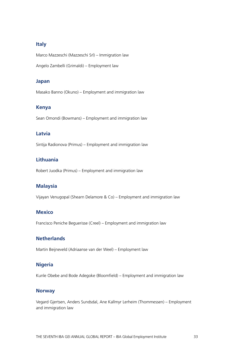# **Italy**

Marco Mazzeschi (Mazzeschi Srl) – Immigration law

Angelo Zambelli (Grimaldi) – Employment law

#### **Japan**

Masako Banno (Okuno) – Employment and immigration law

# **Kenya**

Sean Omondi (Bowmans) – Employment and immigration law

# **Latvia**

Sintija Radionova (Primus) – Employment and immigration law

# **Lithuania**

Robert Juodka (Primus) – Employment and immigration law

#### **Malaysia**

Vijayan Venugopal (Shearn Delamore & Co) – Employment and immigration law

# **Mexico**

Francisco Peniche Beguerisse (Creel) – Employment and immigration law

# **Netherlands**

Martin Beijneveld (Adriaanse van der Weel) – Employment law

#### **Nigeria**

Kunle Obebe and Bode Adegoke (Bloomfield) – Employment and immigration law

#### **Norway**

Vegard Gjertsen, Anders Sundsdal, Ane Kallmyr Lerheim (Thommessen) – Employment and immigration law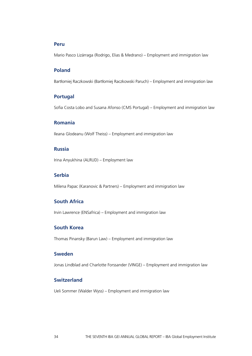#### **Peru**

Mario Pasco Lizárraga (Rodrigo, Elias & Medrano) – Employment and immigration law

#### **Poland**

Bartłomiej Raczkowski (Bartłomiej Raczkowski Paruch) – Employment and immigration law

#### **Portugal**

Sofia Costa Lobo and Susana Afonso (CMS Portugal) – Employment and immigration law

# **Romania**

Ileana Glodeanu (Wolf Theiss) – Employment and immigration law

# **Russia**

Irina Anyukhina (ALRUD) – Employment law

# **Serbia**

Milena Papac (Karanovic & Partners) – Employment and immigration law

# **South Africa**

Irvin Lawrence (ENSafrica) – Employment and immigration law

# **South Korea**

Thomas Pinansky (Barun Law) – Employment and immigration law

# **Sweden**

Jonas Lindblad and Charlotte Forssander (VINGE) – Employment and immigration law

# **Switzerland**

Ueli Sommer (Walder Wyss) – Employment and immigration law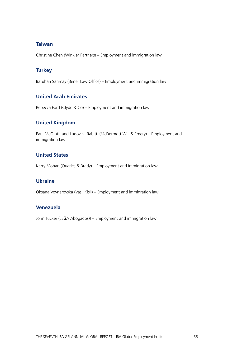# **Taiwan**

Christine Chen (Winkler Partners) – Employment and immigration law

# **Turkey**

Batuhan Sahmay (Bener Law Office) – Employment and immigration law

# **United Arab Emirates**

Rebecca Ford (Clyde & Co) – Employment and immigration law

# **United Kingdom**

Paul McGrath and Ludovica Rabitti (McDermott Will & Emery) – Employment and immigration law

# **United States**

Kerry Mohan (Quarles & Brady) – Employment and immigration law

# **Ukraine**

Oksana Voynarovska (Vasil Kisil) – Employment and immigration law

# **Venezuela**

John Tucker (LEĜA Abogados)) – Employment and immigration law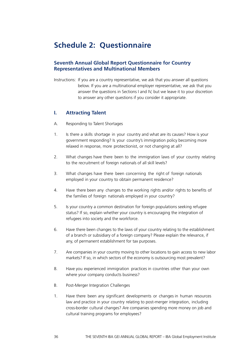# **Schedule 2: Questionnaire**

# **Seventh Annual Global Report Questionnaire for Country Representatives and Multinational Members**

Instructions: If you are a country representative, we ask that you answer all questions below. If you are a multinational employer representative, we ask that you answer the questions in Sections I and IV, but we leave it to your discretion to answer any other questions if you consider it appropriate.

#### **I. Attracting Talent**

- A. Responding to Talent Shortages
- 1. Is there a skills shortage in your country and what are its causes? How is your government responding? Is your country's immigration policy becoming more relaxed in response, more protectionist, or not changing at all?
- 2. What changes have there been to the immigration laws of your country relating to the recruitment of foreign nationals of all skill levels?
- 3. What changes have there been concerning the right of foreign nationals employed in your country to obtain permanent residence?
- 4. Have there been any changes to the working rights and/or rights to benefits of the families of foreign nationals employed in your country?
- 5. Is your country a common destination for foreign populations seeking refugee status? If so, explain whether your country is encouraging the integration of refugees into society and the workforce.
- 6. Have there been changes to the laws of your country relating to the establishment of a branch or subsidiary of a foreign company? Please explain the relevance, if any, of permanent establishment for tax purposes.
- 7. Are companies in your country moving to other locations to gain access to new labor markets? If so, in which sectors of the economy is outsourcing most prevalent?
- 8. Have you experienced immigration practices in countries other than your own where your company conducts business?
- B. Post-Merger Integration Challenges
- 1. Have there been any significant developments or changes in human resources law and practice in your country relating to post-merger integration, including cross-border cultural changes? Are companies spending more money on job and cultural training programs for employees?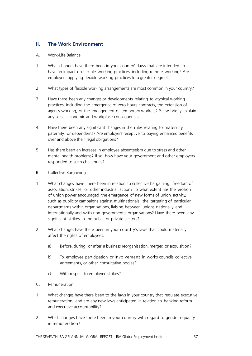# **II. The Work Environment**

- A. Work-Life Balance
- 1. What changes have there been in your country's laws that are intended to have an impact on flexible working practices, including remote working? Are employers applying flexible working practices to a greater degree?
- 2. What types of flexible working arrangements are most common in your country?
- 3. Have there been any changes or developments relating to atypical working practices, including the emergence of zero-hours contracts, the extension of agency working, or the engagement of temporary workers? Please briefly explain any social, economic and workplace consequences.
- 4. Have there been any significant changes in the rules relating to maternity, paternity, or dependents? Are employers receptive to paying enhanced benefits over and above their legal obligations?
- 5. Has there been an increase in employee absenteeism due to stress and other mental health problems? If so, how have your government and other employers responded to such challenges?
- B. Collective Bargaining
- 1. What changes have there been in relation to collective bargaining, freedom of association, strikes, or other industrial action? To what extent has the erosion of union power encouraged the emergence of new forms of union activity, such as publicity campaigns against multinationals, the targeting of particular departments within organisations, liaising between unions nationally and internationally and with non-governmental organisations? Have there been any significant strikes in the public or private sectors?
- 2. What changes have there been in your country's laws that could materially affect the rights of employees:
	- a) Before, during, or after a business reorganisation, merger, or acquisition?
	- b) To employee participation or involvement in works councils, collective agreements, or other consultative bodies?
	- c) With respect to employee strikes?
- C. Remuneration
- 1. What changes have there been to the laws in your country that regulate executive remuneration, and are any new laws anticipated in relation to banking reform and executive accountability?
- 2. What changes have there been in your country with regard to gender equality in remuneration?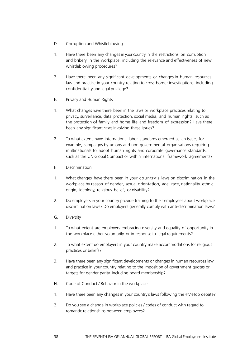- D. Corruption and Whistleblowing
- 1. Have there been any changes in your country in the restrictions on corruption and bribery in the workplace, including the relevance and effectiveness of new whistleblowing procedures?
- 2. Have there been any significant developments or changes in human resources law and practice in your country relating to cross-border investigations, including confidentiality and legal privilege?
- E. Privacy and Human Rights
- 1. What changes have there been in the laws or workplace practices relating to privacy, surveillance, data protection, social media, and human rights, such as the protection of family and home life and freedom of expression? Have there been any significant cases involving these issues?
- 2. To what extent have international labor standards emerged as an issue, for example, campaigns by unions and non-governmental organisations requiring multinationals to adopt human rights and corporate governance standards, such as the UN Global Compact or within international framework agreements?
- F. Discrimination
- 1. What changes have there been in your country's laws on discrimination in the workplace by reason of gender, sexual orientation, age, race, nationality, ethnic origin, ideology, religious belief, or disability?
- 2. Do employers in your country provide training to their employees about workplace discrimination laws? Do employers generally comply with anti-discrimination laws?
- G. Diversity
- 1. To what extent are employers embracing diversity and equality of opportunity in the workplace either voluntarily or in response to legal requirements?
- 2. To what extent do employers in your country make accommodations for religious practices or beliefs?
- 3. Have there been any significant developments or changes in human resources law and practice in your country relating to the imposition of government quotas or targets for gender parity, including board membership?
- H. Code of Conduct / Behavior in the workplace
- 1. Have there been any changes in your country's laws following the #MeToo debate?
- 2. Do you see a change in workplace policies / codes of conduct with regard to romantic relationships between employees?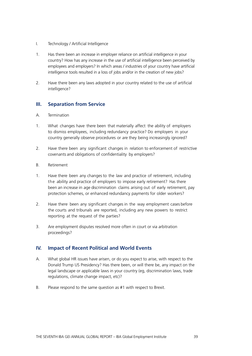- I. Technology / Artificial Intelligence
- 1. Has there been an increase in employer reliance on artificial intelligence in your country? How has any increase in the use of artificial intelligence been perceived by employees and employers? In which areas / industries of your country have artificial intelligence tools resulted in a loss of jobs and/or in the creation of new jobs?
- 2. Have there been any laws adopted in your country related to the use of artificial intelligence?

# **III. Separation from Service**

- A. Termination
- 1. What changes have there been that materially affect the ability of employers to dismiss employees, including redundancy practice? Do employers in your country generally observe procedures or are they being increasingly ignored?
- 2. Have there been any significant changes in relation to enforcement of restrictive covenants and obligations of confidentiality by employers?
- B. Retirement
- 1. Have there been any changes to the law and practice of retirement, including the ability and practice of employers to impose early retirement? Has there been an increase in age discrimination claims arising out of early retirement, pay protection schemes, or enhanced redundancy payments for older workers?
- 2. Have there been any significant changes in the way employment cases before the courts and tribunals are reported, including any new powers to restrict reporting at the request of the parties?
- 3. Are employment disputes resolved more often in court or via arbitration proceedings?

# **IV. Impact of Recent Political and World Events**

- A. What global HR issues have arisen, or do you expect to arise, with respect to the Donald Trump US Presidency? Has there been, or will there be, any impact on the legal landscape or applicable laws in your country (eg, discrimination laws, trade regulations, climate change impact, etc)?
- B. Please respond to the same question as #1 with respect to Brexit.